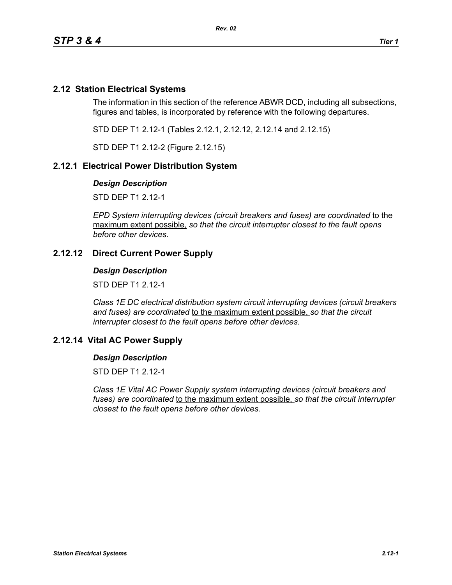## **2.12 Station Electrical Systems**

The information in this section of the reference ABWR DCD, including all subsections, figures and tables, is incorporated by reference with the following departures.

STD DEP T1 2.12-1 (Tables 2.12.1, 2.12.12, 2.12.14 and 2.12.15)

STD DEP T1 2.12-2 (Figure 2.12.15)

## **2.12.1 Electrical Power Distribution System**

#### *Design Description*

STD DEP T1 2.12-1

*EPD System interrupting devices (circuit breakers and fuses) are coordinated* to the maximum extent possible, *so that the circuit interrupter closest to the fault opens before other devices.*

## **2.12.12 Direct Current Power Supply**

#### *Design Description*

STD DEP T1 2.12-1

*Class 1E DC electrical distribution system circuit interrupting devices (circuit breakers and fuses) are coordinated* to the maximum extent possible, *so that the circuit interrupter closest to the fault opens before other devices.*

## **2.12.14 Vital AC Power Supply**

#### *Design Description*

STD DFP T1 2 12-1

*Class 1E Vital AC Power Supply system interrupting devices (circuit breakers and fuses) are coordinated* to the maximum extent possible, *so that the circuit interrupter closest to the fault opens before other devices.*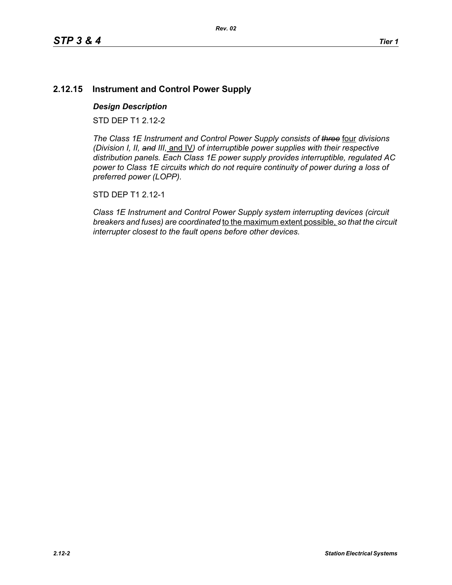# **2.12.15 Instrument and Control Power Supply**

## *Design Description*

STD DEP T1 2.12-2

*The Class 1E Instrument and Control Power Supply consists of three* four *divisions (Division I, II, and III,* and IV*) of interruptible power supplies with their respective distribution panels. Each Class 1E power supply provides interruptible, regulated AC power to Class 1E circuits which do not require continuity of power during a loss of preferred power (LOPP).*

STD DEP T1 2.12-1

*Class 1E Instrument and Control Power Supply system interrupting devices (circuit breakers and fuses) are coordinated* to the maximum extent possible, *so that the circuit interrupter closest to the fault opens before other devices.*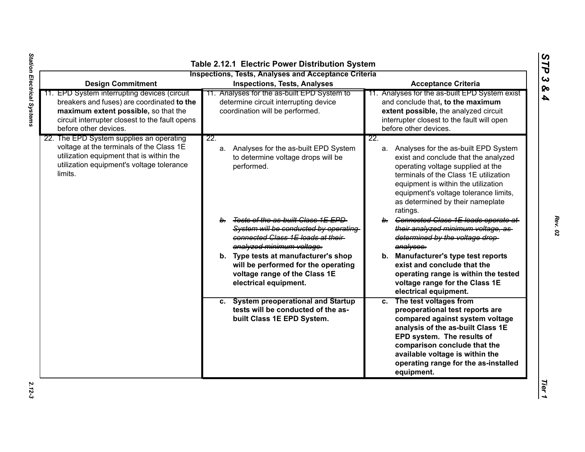| <b>Design Commitment</b>                                                                                                                                                                                      | <b>Inspections, Tests, Analyses and Acceptance Criteria</b><br><b>Inspections, Tests, Analyses</b>                                                             | <b>Acceptance Criteria</b>                                                                                                                                                                                                                                                                           |
|---------------------------------------------------------------------------------------------------------------------------------------------------------------------------------------------------------------|----------------------------------------------------------------------------------------------------------------------------------------------------------------|------------------------------------------------------------------------------------------------------------------------------------------------------------------------------------------------------------------------------------------------------------------------------------------------------|
| 11. EPD System interrupting devices (circuit<br>breakers and fuses) are coordinated to the<br>maximum extent possible, so that the<br>circuit interrupter closest to the fault opens<br>before other devices. | 11. Analyses for the as-built EPD System to<br>determine circuit interrupting device<br>coordination will be performed.                                        | Analyses for the as-built EPD System exist<br>and conclude that, to the maximum<br>extent possible, the analyzed circuit<br>interrupter closest to the fault will open<br>before other devices.                                                                                                      |
| 22. The EPD System supplies an operating<br>voltage at the terminals of the Class 1E<br>utilization equipment that is within the<br>utilization equipment's voltage tolerance<br>limits.                      | 22.<br>a. Analyses for the as-built EPD System<br>to determine voltage drops will be<br>performed.                                                             | 22.<br>a. Analyses for the as-built EPD System<br>exist and conclude that the analyzed<br>operating voltage supplied at the<br>terminals of the Class 1E utilization<br>equipment is within the utilization<br>equipment's voltage tolerance limits,<br>as determined by their nameplate<br>ratings. |
|                                                                                                                                                                                                               | <del>Tests of the as-built Class 1E EPD</del><br>b.<br>System will be conducted by operating<br>connected Class 1E loads at their<br>analyzed minimum voltage. | b. Connected Class 1E loads operate at<br>their analyzed minimum voltage, as-<br>determined by the voltage drop-<br>analyses.                                                                                                                                                                        |
|                                                                                                                                                                                                               | b. Type tests at manufacturer's shop<br>will be performed for the operating<br>voltage range of the Class 1E<br>electrical equipment.                          | b. Manufacturer's type test reports<br>exist and conclude that the<br>operating range is within the tested<br>voltage range for the Class 1E<br>electrical equipment.                                                                                                                                |
|                                                                                                                                                                                                               | c. System preoperational and Startup<br>tests will be conducted of the as-<br>built Class 1E EPD System.                                                       | c. The test voltages from<br>preoperational test reports are<br>compared against system voltage<br>analysis of the as-built Class 1E<br>EPD system. The results of<br>comparison conclude that the<br>available voltage is within the<br>operating range for the as-installed<br>equipment.          |

*STP 3 & 4*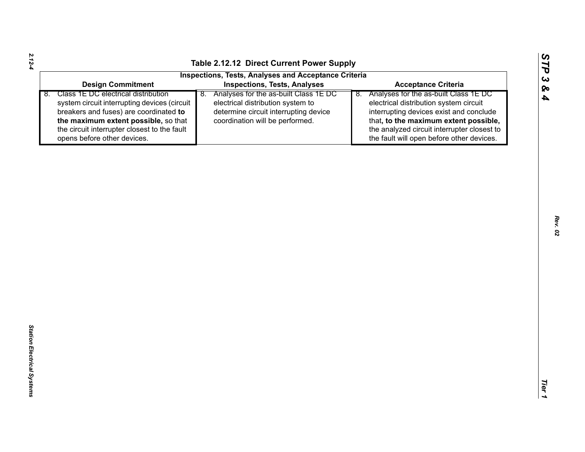| tance Criteria      |  |
|---------------------|--|
| ne as-built Class 1 |  |

|                                                                                                                                                                                                                                                            | Table 2.12.12 Direct Current Power Supply                                                                                                                 |                                                                                                                                                                                                                                                                       |
|------------------------------------------------------------------------------------------------------------------------------------------------------------------------------------------------------------------------------------------------------------|-----------------------------------------------------------------------------------------------------------------------------------------------------------|-----------------------------------------------------------------------------------------------------------------------------------------------------------------------------------------------------------------------------------------------------------------------|
|                                                                                                                                                                                                                                                            | <b>Inspections, Tests, Analyses and Acceptance Criteria</b>                                                                                               |                                                                                                                                                                                                                                                                       |
| <b>Design Commitment</b>                                                                                                                                                                                                                                   | <b>Inspections, Tests, Analyses</b>                                                                                                                       | <b>Acceptance Criteria</b>                                                                                                                                                                                                                                            |
| Class 1E DC electrical distribution<br>8.<br>system circuit interrupting devices (circuit<br>breakers and fuses) are coordinated to<br>the maximum extent possible, so that<br>the circuit interrupter closest to the fault<br>opens before other devices. | 8. Analyses for the as-built Class 1E DC<br>electrical distribution system to<br>determine circuit interrupting device<br>coordination will be performed. | Analyses for the as-built Class 1E DC<br>8.<br>electrical distribution system circuit<br>interrupting devices exist and conclude<br>that, to the maximum extent possible,<br>the analyzed circuit interrupter closest to<br>the fault will open before other devices. |
|                                                                                                                                                                                                                                                            |                                                                                                                                                           |                                                                                                                                                                                                                                                                       |
|                                                                                                                                                                                                                                                            |                                                                                                                                                           |                                                                                                                                                                                                                                                                       |
|                                                                                                                                                                                                                                                            |                                                                                                                                                           |                                                                                                                                                                                                                                                                       |
|                                                                                                                                                                                                                                                            |                                                                                                                                                           |                                                                                                                                                                                                                                                                       |
|                                                                                                                                                                                                                                                            |                                                                                                                                                           |                                                                                                                                                                                                                                                                       |
|                                                                                                                                                                                                                                                            |                                                                                                                                                           |                                                                                                                                                                                                                                                                       |
|                                                                                                                                                                                                                                                            |                                                                                                                                                           |                                                                                                                                                                                                                                                                       |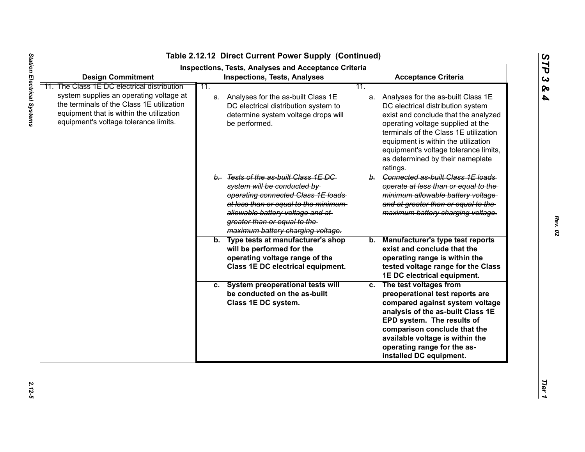| <b>Design Commitment</b>                                                                                                                                                  | <b>Inspections, Tests, Analyses and Acceptance Criteria</b><br><b>Inspections, Tests, Analyses</b>                                                                                                                                                           | <b>Acceptance Criteria</b>                                                                                                                                                                                                                                                                                                       |
|---------------------------------------------------------------------------------------------------------------------------------------------------------------------------|--------------------------------------------------------------------------------------------------------------------------------------------------------------------------------------------------------------------------------------------------------------|----------------------------------------------------------------------------------------------------------------------------------------------------------------------------------------------------------------------------------------------------------------------------------------------------------------------------------|
| The Class 1E DC electrical distribution                                                                                                                                   | 11.                                                                                                                                                                                                                                                          | 11.                                                                                                                                                                                                                                                                                                                              |
| system supplies an operating voltage at<br>the terminals of the Class 1E utilization<br>equipment that is within the utilization<br>equipment's voltage tolerance limits. | a. Analyses for the as-built Class 1E<br>DC electrical distribution system to<br>determine system voltage drops will<br>be performed.                                                                                                                        | a. Analyses for the as-built Class 1E<br>DC electrical distribution system<br>exist and conclude that the analyzed<br>operating voltage supplied at the<br>terminals of the Class 1E utilization<br>equipment is within the utilization<br>equipment's voltage tolerance limits,<br>as determined by their nameplate<br>ratings. |
|                                                                                                                                                                           | b. Tests of the as-built Class 1E DC<br>system will be conducted by<br>operating connected Class 1E loads<br>at less than or equal to the minimum-<br>allowable battery voltage and at-<br>greater than or equal to the<br>maximum battery charging voltage. | b. Connected as-built Class 1E loads<br>operate at less than or equal to the<br>minimum allowable battery voltage<br>and at greater than or equal to the<br>maximum battery charging voltage.                                                                                                                                    |
|                                                                                                                                                                           | b. Type tests at manufacturer's shop<br>will be performed for the<br>operating voltage range of the<br>Class 1E DC electrical equipment.                                                                                                                     | <b>Manufacturer's type test reports</b><br>b.<br>exist and conclude that the<br>operating range is within the<br>tested voltage range for the Class<br>1E DC electrical equipment.                                                                                                                                               |
|                                                                                                                                                                           | c. System preoperational tests will<br>be conducted on the as-built<br>Class 1E DC system.                                                                                                                                                                   | c. The test voltages from<br>preoperational test reports are<br>compared against system voltage<br>analysis of the as-built Class 1E<br>EPD system. The results of<br>comparison conclude that the<br>available voltage is within the<br>operating range for the as-<br>installed DC equipment.                                  |

*STP 3 & 4*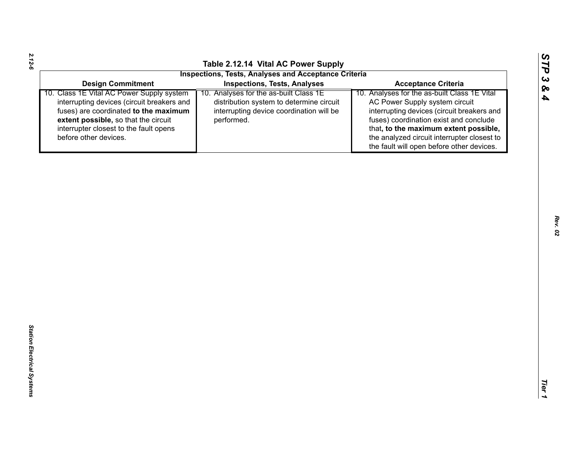| ပာ<br>⊣<br>J |
|--------------|
| L,           |
| დ            |
| 4            |
|              |
|              |

|                                                                                                                                                                                                                                             | <b>Inspections, Tests, Analyses and Acceptance Criteria</b>                                                                                  |                                                                                                                                                                                                                                                                                                             |
|---------------------------------------------------------------------------------------------------------------------------------------------------------------------------------------------------------------------------------------------|----------------------------------------------------------------------------------------------------------------------------------------------|-------------------------------------------------------------------------------------------------------------------------------------------------------------------------------------------------------------------------------------------------------------------------------------------------------------|
| <b>Design Commitment</b>                                                                                                                                                                                                                    | <b>Inspections, Tests, Analyses</b>                                                                                                          | <b>Acceptance Criteria</b>                                                                                                                                                                                                                                                                                  |
| 10. Class 1E Vital AC Power Supply system<br>interrupting devices (circuit breakers and<br>fuses) are coordinated to the maximum<br>extent possible, so that the circuit<br>interrupter closest to the fault opens<br>before other devices. | 10. Analyses for the as-built Class 1E<br>distribution system to determine circuit<br>interrupting device coordination will be<br>performed. | 10. Analyses for the as-built Class 1E Vital<br>AC Power Supply system circuit<br>interrupting devices (circuit breakers and<br>fuses) coordination exist and conclude<br>that, to the maximum extent possible,<br>the analyzed circuit interrupter closest to<br>the fault will open before other devices. |
|                                                                                                                                                                                                                                             |                                                                                                                                              |                                                                                                                                                                                                                                                                                                             |

*2.12-6*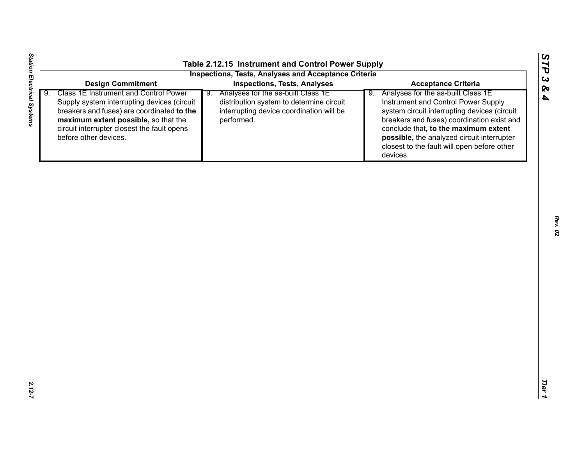| <b>Design Commitment</b><br><b>Inspections, Tests, Analyses</b><br><b>Acceptance Criteria</b><br>Class 1E Instrument and Control Power<br>$\overline{9}$ .<br>9. Analyses for the as-built Class 1E<br>Analyses for the as-built Class 1E<br>9.<br>Instrument and Control Power Supply<br>Supply system interrupting devices (circuit<br>distribution system to determine circuit<br>breakers and fuses) are coordinated to the<br>interrupting device coordination will be<br>system circuit interrupting devices (circuit<br>breakers and fuses) coordination exist and<br>maximum extent possible, so that the<br>performed. |
|---------------------------------------------------------------------------------------------------------------------------------------------------------------------------------------------------------------------------------------------------------------------------------------------------------------------------------------------------------------------------------------------------------------------------------------------------------------------------------------------------------------------------------------------------------------------------------------------------------------------------------|
|                                                                                                                                                                                                                                                                                                                                                                                                                                                                                                                                                                                                                                 |
| circuit interrupter closest the fault opens<br>conclude that, to the maximum extent<br>before other devices.<br>possible, the analyzed circuit interrupter<br>closest to the fault will open before other<br>devices.                                                                                                                                                                                                                                                                                                                                                                                                           |

*STP 3 & 4*